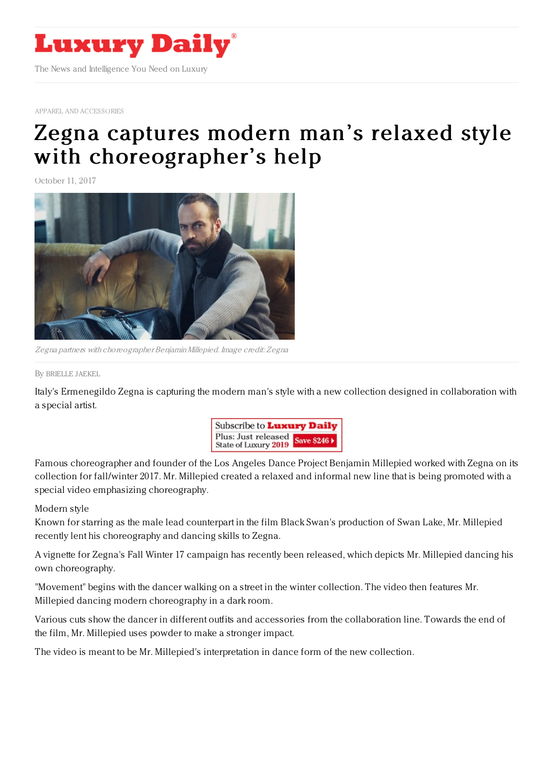

APPAREL AND [ACCESSORIES](https://www.luxurydaily.com/category/apparelandaccessories)

## Zegna captures modern man's relaxed style with [choreographer's](https://www.luxurydaily.com/zegna-captures-modern-mans-relaxed-style-with-choreographers-help/) help

October 11, 2017



Zegna partners with choreographer BenjaminMillepied. Image credit: Zegna

## By [BRIELLE](file:///author/brielle-jaekel) JAEKEL

Italy's Ermenegildo Zegna is capturing the modern man's style with a new collection designed in collaboration with a special artist.



Famous choreographer and founder of the Los Angeles Dance Project Benjamin Millepied worked with Zegna on its collection for fall/winter 2017. Mr. Millepied created a relaxed and informal new line that is being promoted with a special video emphasizing choreography.

## Modern style

Known for starring as the male lead counterpart in the film Black Swan's production of Swan Lake, Mr. Millepied recently lent his choreography and dancing skills to Zegna.

A vignette for Zegna's Fall Winter 17 campaign has recently been released, which depicts Mr. Millepied dancing his own choreography.

"Movement" begins with the dancer walking on a street in the winter collection. The video then features Mr. Millepied dancing modern choreography in a dark room.

Various cuts show the dancer in different outfits and accessories from the collaboration line. Towards the end of the film, Mr. Millepied uses powder to make a stronger impact.

The video is meant to be Mr. Millepied's interpretation in dance form of the new collection.